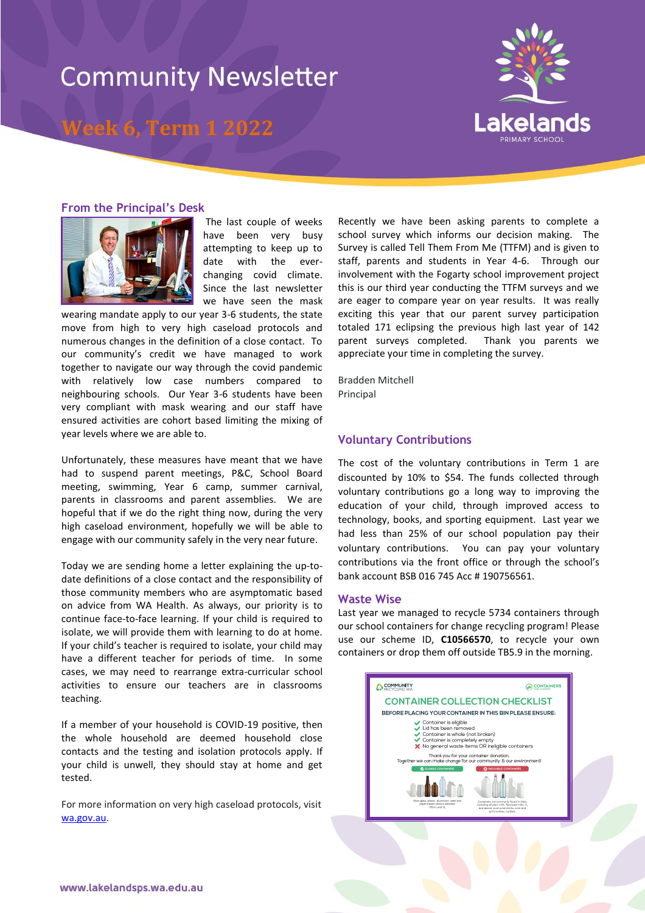# **Community Newsletter**

### **Week 6, Term 1 2022**



#### **From the Principal's Desk**



The last couple of weeks have been very busy attempting to keep up to date with the everchanging covid climate. Since the last newsletter we have seen the mask

wearing mandate apply to our year 3-6 students, the state move from high to very high caseload protocols and numerous changes in the definition of a close contact. To our community's credit we have managed to work together to navigate our way through the covid pandemic with relatively low case numbers compared to neighbouring schools. Our Year 3-6 students have been very compliant with mask wearing and our staff have ensured activities are cohort based limiting the mixing of year levels where we are able to.

Unfortunately, these measures have meant that we have had to suspend parent meetings, P&C, School Board meeting, swimming, Year 6 camp, summer carnival, parents in classrooms and parent assemblies. We are hopeful that if we do the right thing now, during the very high caseload environment, hopefully we will be able to engage with our community safely in the very near future.

Today we are sending home a letter explaining the up-todate definitions of a close contact and the responsibility of those community members who are asymptomatic based on advice from WA Health. As always, our priority is to continue face-to-face learning. If your child is required to isolate, we will provide them with learning to do at home. If your child's teacher is required to isolate, your child may have a different teacher for periods of time. In some cases, we may need to rearrange extra-curricular school activities to ensure our teachers are in classrooms teaching.

If a member of your household is COVID-19 positive, then the whole household are deemed household close contacts and the testing and isolation protocols apply. If your child is unwell, they should stay at home and get tested.

For more information on very high caseload protocols, visit [wa.gov.au.](https://www.wa.gov.au/government/announcements/high-caseload-measures-schools-and-childcare)

Recently we have been asking parents to complete a school survey which informs our decision making. The Survey is called Tell Them From Me (TTFM) and is given to staff, parents and students in Year 4-6. Through our involvement with the Fogarty school improvement project this is our third year conducting the TTFM surveys and we are eager to compare year on year results. It was really exciting this year that our parent survey participation totaled 171 eclipsing the previous high last year of 142 parent surveys completed. Thank you parents we appreciate your time in completing the survey.

Bradden Mitchell Principal

#### **Voluntary Contributions**

The cost of the voluntary contributions in Term 1 are discounted by 10% to \$54. The funds collected through voluntary contributions go a long way to improving the education of your child, through improved access to technology, books, and sporting equipment. Last year we had less than 25% of our school population pay their voluntary contributions. You can pay your voluntary contributions via the front office or through the school's bank account BSB 016 745 Acc # 190756561.

#### **Waste Wise**

Last year we managed to recycle 5734 containers through our school containers for change recycling program! Please use our scheme ID, **C10566570**, to recycle your own containers or drop them off outside TB5.9 in the morning.

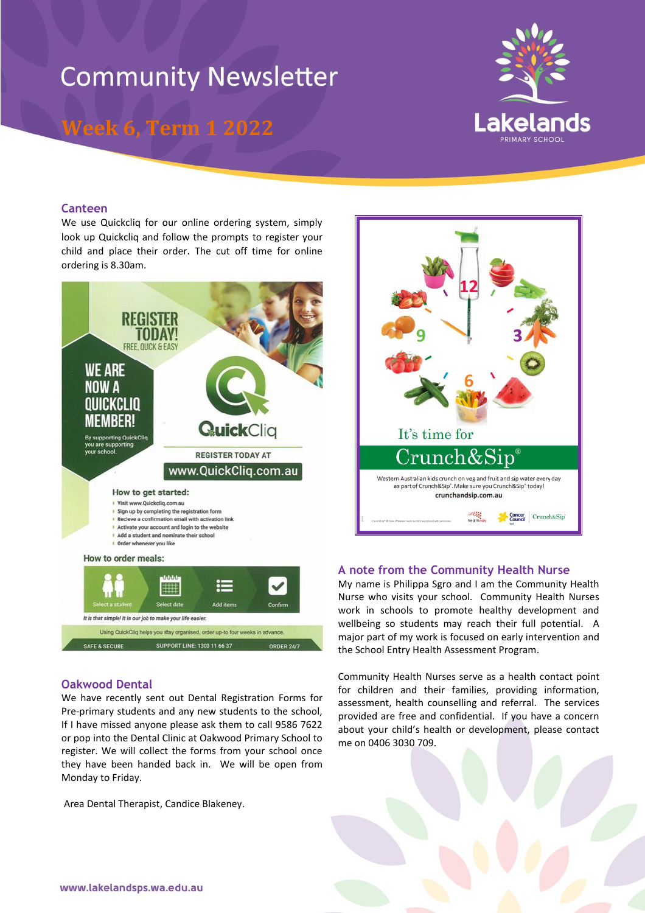# **Community Newsletter**

**Week 6, Term 1 2022**



#### **Canteen**

We use Quickclig for our online ordering system, simply look up Quickcliq and follow the prompts to register your child and place their order. The cut off time for online ordering is 8.30am.



#### **Oakwood Dental**

We have recently sent out Dental Registration Forms for Pre-primary students and any new students to the school, If I have missed anyone please ask them to call 9586 7622 or pop into the Dental Clinic at Oakwood Primary School to register. We will collect the forms from your school once they have been handed back in. We will be open from Monday to Friday.

Area Dental Therapist, Candice Blakeney.



#### **A note from the Community Health Nurse**

My name is Philippa Sgro and I am the Community Health Nurse who visits your school. Community Health Nurses work in schools to promote healthy development and wellbeing so students may reach their full potential. A major part of my work is focused on early intervention and the School Entry Health Assessment Program.

Community Health Nurses serve as a health contact point for children and their families, providing information, assessment, health counselling and referral. The services provided are free and confidential. If you have a concern about your child's health or development, please contact me on 0406 3030 709.